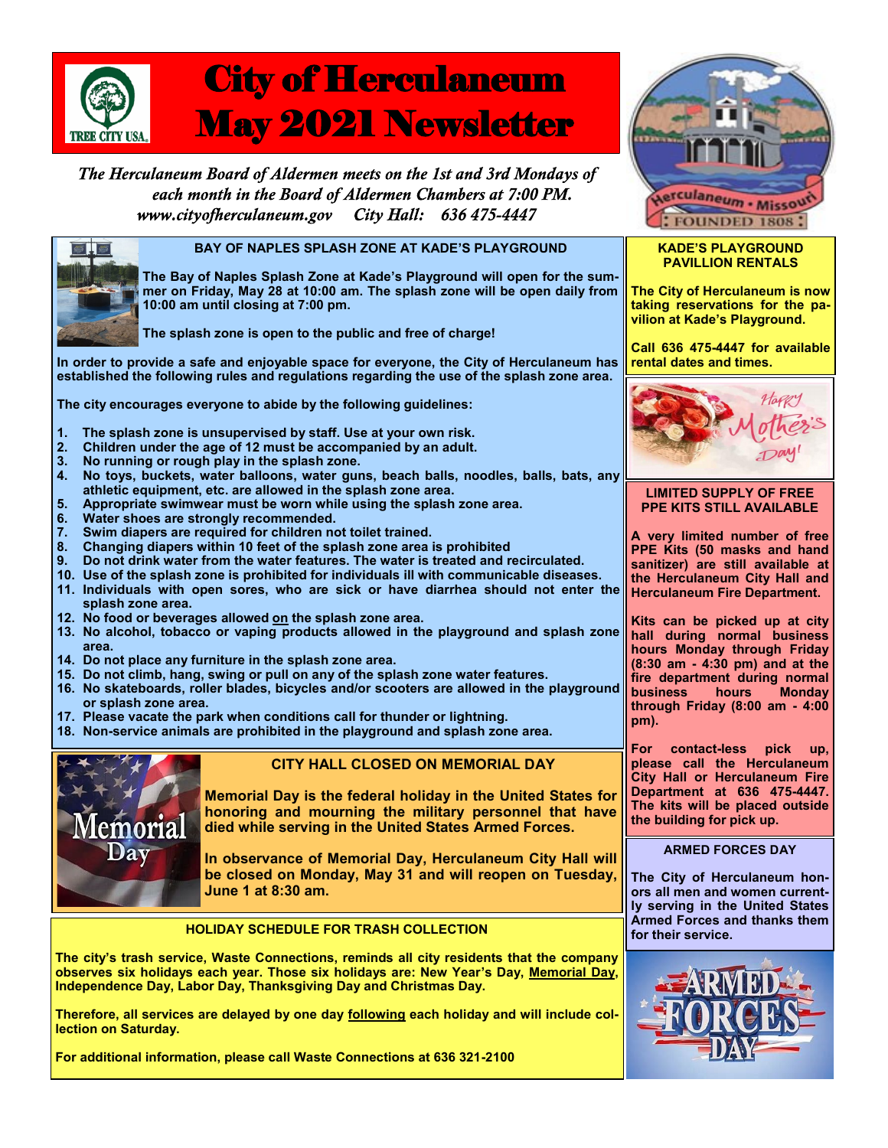

# City of Herculaneum May 2021 Newsletter

The Herculaneum Board of Aldermen meets on the 1st and 3rd Mondays of each month in the Board of Aldermen Chambers at 7:00 PM. www.cityofherculaneum.gov City Hall: 636 475-4447



## **BAY OF NAPLES SPLASH ZONE AT KADE'S PLAYGROUND**

**The Bay of Naples Splash Zone at Kade's Playground will open for the summer on Friday, May 28 at 10:00 am. The splash zone will be open daily from 10:00 am until closing at 7:00 pm.**

**The splash zone is open to the public and free of charge!**

**In order to provide a safe and enjoyable space for everyone, the City of Herculaneum has established the following rules and regulations regarding the use of the splash zone area.**

**The city encourages everyone to abide by the following guidelines:**

- **1. The splash zone is unsupervised by staff. Use at your own risk.**
- **2. Children under the age of 12 must be accompanied by an adult.**
- **3. No running or rough play in the splash zone.**
- **4. No toys, buckets, water balloons, water guns, beach balls, noodles, balls, bats, any athletic equipment, etc. are allowed in the splash zone area.**
- **5. Appropriate swimwear must be worn while using the splash zone area.**
- **6. Water shoes are strongly recommended.**
- **7. Swim diapers are required for children not toilet trained.**
- **8. Changing diapers within 10 feet of the splash zone area is prohibited**
- **9. Do not drink water from the water features. The water is treated and recirculated.**
- **10. Use of the splash zone is prohibited for individuals ill with communicable diseases.**
- **11. Individuals with open sores, who are sick or have diarrhea should not enter the splash zone area.**
- **12. No food or beverages allowed on the splash zone area.**
- **13. No alcohol, tobacco or vaping products allowed in the playground and splash zone area.**
- **14. Do not place any furniture in the splash zone area.**
- **15. Do not climb, hang, swing or pull on any of the splash zone water features.**
- **16. No skateboards, roller blades, bicycles and/or scooters are allowed in the playground or splash zone area.**
- **17. Please vacate the park when conditions call for thunder or lightning.**
- **18. Non-service animals are prohibited in the playground and splash zone area.**



## **CITY HALL CLOSED ON MEMORIAL DAY**

**Memorial Day is the federal holiday in the United States for honoring and mourning the military personnel that have died while serving in the United States Armed Forces.**

**In observance of Memorial Day, Herculaneum City Hall will be closed on Monday, May 31 and will reopen on Tuesday, June 1 at 8:30 am.**

## **HOLIDAY SCHEDULE FOR TRASH COLLECTION**

**The city's trash service, Waste Connections, reminds all city residents that the company observes six holidays each year. Those six holidays are: New Year's Day, Memorial Day, Independence Day, Labor Day, Thanksgiving Day and Christmas Day.**

**Therefore, all services are delayed by one day following each holiday and will include collection on Saturday.**

**For additional information, please call Waste Connections at 636 321-2100**



## **KADE'S PLAYGROUND PAVILLION RENTALS**

**The City of Herculaneum is now taking reservations for the pavilion at Kade's Playground.**

**Call 636 475-4447 for available rental dates and times.**



## **LIMITED SUPPLY OF FREE PPE KITS STILL AVAILABLE**

**A very limited number of free PPE Kits (50 masks and hand sanitizer) are still available at the Herculaneum City Hall and Herculaneum Fire Department.**

**Kits can be picked up at city hall during normal business hours Monday through Friday (8:30 am - 4:30 pm) and at the fire department during normal Monday through Friday (8:00 am - 4:00 pm).**

**For contact-less pick up, please call the Herculaneum City Hall or Herculaneum Fire Department at 636 475-4447. The kits will be placed outside the building for pick up.**

## **ARMED FORCES DAY**

**The City of Herculaneum honors all men and women currently serving in the United States Armed Forces and thanks them for their service.**